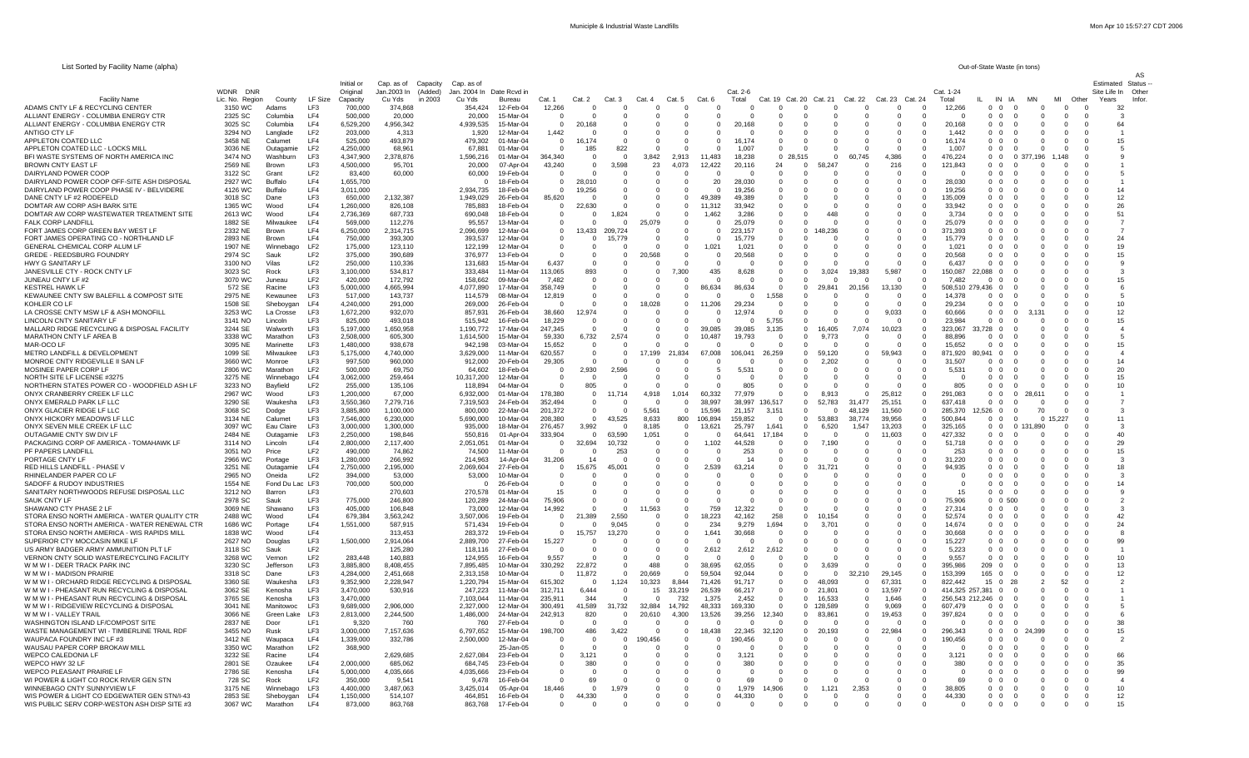| List Sorted by Facility Name (alpha) | Out-of-State Waste (in tons) |
|--------------------------------------|------------------------------|
|--------------------------------------|------------------------------|

| List correct by Facility Natric (alpha)                                                     |                             |                           |                                    |                        |                                             |                                     |                          |                        |                                       |                      |                      |                               |                      |                   |                          |                                |                      |                            |                      |                               |                              | <b>Uul-Ul-Ulale Waste IIII lui 13</b> |                                         |                                             |                         |       |
|---------------------------------------------------------------------------------------------|-----------------------------|---------------------------|------------------------------------|------------------------|---------------------------------------------|-------------------------------------|--------------------------|------------------------|---------------------------------------|----------------------|----------------------|-------------------------------|----------------------|-------------------|--------------------------|--------------------------------|----------------------|----------------------------|----------------------|-------------------------------|------------------------------|---------------------------------------|-----------------------------------------|---------------------------------------------|-------------------------|-------|
|                                                                                             |                             |                           |                                    | Initial or             | Cap. as of<br>Capacity                      | Cap. as of                          |                          |                        |                                       |                      |                      |                               |                      |                   |                          |                                |                      |                            |                      |                               |                              |                                       |                                         |                                             | <b>Estimated Status</b> |       |
| <b>Facility Name</b>                                                                        | WDNR DNR<br>Lic. No. Region | County                    | LF Size                            | Original<br>Capacity   | (Added)<br>Jan.2003 In<br>in 2003<br>Cu Yds | Jan. 2004 In Date Rcyd in<br>Cu Yds | Bureau                   | Cat. 1                 | Cat. 2                                | Cat.3                | Cat. 4               | Cat. 5                        | Cat. 6               | Cat. 2-6<br>Total | Cat. 19 Cat. 20          | Cat. 21                        |                      | Cat. 22                    | Cat. 23 Cat. 24      |                               | Cat. 1-24<br>Total           | IN IA                                 |                                         | Other                                       | Site Life In<br>Years   | Other |
| ADAMS CNTY LF & RECYCLING CENTER                                                            | 3150 WC                     | Adams                     | LF3                                | 700,000                | 374.868                                     | 354.424                             | 12-Feb-04                | 12,266                 |                                       |                      |                      |                               |                      |                   |                          |                                |                      |                            |                      |                               | 12,266                       | 0 <sub>0</sub>                        |                                         |                                             | 32                      |       |
| ALLIANT ENERGY - COLUMBIA ENERGY CTF                                                        | 2325 SC                     | Columbia                  | LF4                                | 500,000                | 20,000                                      | 20,000                              | 15-Mar-04                | 0                      |                                       |                      |                      | $\mathbf 0$                   |                      |                   |                          |                                |                      |                            |                      | $\mathbf 0$                   |                              | $0\quad 0$                            |                                         | $\mathbf 0$                                 |                         |       |
| ALLIANT ENERGY - COLUMBIA ENERGY CTR                                                        | 3025 SC<br>3294 NO          | Columbia                  | LF4<br>LF <sub>2</sub>             | 6,529,200              | 4,956,342                                   | 4,939,535                           | 15-Mar-04<br>12-Mar-04   | $\Omega$               | 20,168<br>$\Omega$                    | $\Omega$<br>$\Omega$ | $\Omega$<br>$\Omega$ | $\Omega$<br>$\Omega$          | $\Omega$             | 20,168<br>റ       | $\Omega$<br>$\Omega$     | - 0<br>$\Omega$                | - 0<br>$\Omega$      | $\Omega$<br>$\Omega$       | $\Omega$<br>$\Omega$ | $\overline{0}$<br>$\Omega$    | 20,168<br>1.442              | 0 <sub>0</sub><br>0 O                 | - 0<br>$\Omega$<br>$\Omega$<br>$\Omega$ | $\Omega$<br>- 0<br>$\Omega$<br>$\Omega$     | 64                      |       |
| ANTIGO CTY LF<br>APPLETON COATED LLC                                                        | 3458 NE                     | Langlade<br>Calumet       | IF4                                | 203,000<br>525,000     | 4.313<br>493,879                            | 1.920<br>479,302                    | 01-Mar-04                | 1.442<br>$\mathbf{0}$  | 16.174                                | $\overline{0}$       | $\Omega$             | $\mathbf 0$                   | $\Omega$             | 16.174            | $\mathbf{0}$             | $^{\circ}$                     | $^{\circ}$           | $\mathbf 0$                | $\Omega$             | $\overline{0}$                | 16.174                       | 0 <sub>0</sub>                        | $\Omega$<br>- 0                         | $\Omega$<br>$\Omega$                        | 15                      |       |
| APPLETON COATED LLC - LOCKS MILL                                                            | 3036 NE                     | Outagamie                 | LF <sub>2</sub>                    | 4,250,000              | 68,961                                      | 67,881                              | 01-Mar-04                | $\Omega$               | 185                                   | 822                  | $\Omega$             | $\Omega$                      |                      | 1,007             | $\overline{0}$           | - 0                            | - 0                  | $\Omega$                   | $\Omega$             | $\overline{0}$                | 1,007                        | 0 <sub>0</sub>                        | $\Omega$<br>- 0                         | $\Omega$<br>- 0                             |                         |       |
| BFI WASTE SYSTEMS OF NORTH AMERICA INC                                                      | 3474 NO                     | Washburn                  | LF3                                | 4,347,900              | 2,378,876                                   | 1,596,216                           | 01-Mar-04                | 364,340                | $\Omega$                              | $\Omega$             | 3,842                | 2,913                         | 11,483               | 18,238            | 0, 28, 515               |                                | $\Omega$             | 60,745                     | 4,386                | $\Omega$                      | 476,224                      | 0 <sub>0</sub>                        | 196<br>0.37                             |                                             |                         |       |
| BROWN CNTY EAST LF<br>DAIRYLAND POWER COOP                                                  | 2569 NE<br>3122 SC          | Brown<br>Grant            | LF3<br>LF <sub>2</sub>             | 4,500,000<br>83,400    | 95,701<br>60,000                            | 20,000<br>60,000                    | 07-Apr-04<br>19-Feb-04   | 43,240<br>0            | $\mathbf 0$<br>- 0                    | 3,598<br>0           | 23<br>$\Omega$       | 4,073<br>0                    | 12,422<br>$\Omega$   | 20,116<br>റ       | 24<br>$\mathbf{0}$       | $\overline{\mathbf{0}}$<br>- 0 | 58.247<br>- 0        | $\overline{0}$<br>- 0      | 216<br>$\Omega$      | 0<br>$^{\circ}$               | 121,843                      | 0 <sub>0</sub><br>$0\quad 0$          | $\Omega$                                | $\Omega$                                    |                         |       |
| DAIRYLAND POWER COOP OFF-SITE ASH DISPOSAL                                                  | 2927 WC                     | <b>Buffalo</b>            | LF4                                | 1,655,700              |                                             | $\Omega$                            | 18-Feb-04                | $\Omega$               | 28,010                                | - 0                  |                      | $\Omega$                      | 20                   | 28,030            | $\Omega$                 | - 0                            | - 0                  | $\Omega$                   |                      | $\Omega$                      | 28.030                       | 0 0                                   | $^{\circ}$                              | $\Omega$                                    |                         |       |
| DAIRYLAND POWER COOP PHASE IV - BELVIDERE                                                   | 4126 WC                     | <b>Buffalo</b>            | LF4                                | 3.011.000              |                                             | 2.934.735                           | 18-Feb-04                | $\Omega$               | 19,256                                | $\Omega$             |                      | $\Omega$                      | $\Omega$             | 19,256            | $\Omega$                 | - 0                            | - 0                  | $\Omega$                   | $\Omega$             | $\Omega$                      | 19.256                       | 0 O                                   |                                         | $\Omega$<br>$\Omega$                        | 14                      |       |
| DANE CNTY LF #2 RODEFELD                                                                    | 3018 SC                     | Dane                      | LF3                                | 650,000                | 2,132,387                                   | 1,949,029                           | 26-Feb-04                | 85,620                 | - 0                                   | $\Omega$             |                      | $\mathbf 0$                   | 49,389               | 49.389            | $^{\circ}$               | $\Omega$                       |                      | $\Omega$                   |                      | $\mathbf 0$                   | 135.009                      | 0 O                                   |                                         | $\Omega$                                    | 12                      |       |
| DOMTAR AW CORP ASH BARK SITE<br>DOMTAR AW CORP WASTEWATER TREATMENT SITI                    | 1365 WC<br>2613 WC          | Wood<br>Wood              | LF4<br>LF4                         | 1.260.000<br>2,736,369 | 826.108<br>687,733                          | 785.883<br>690,048                  | 18-Feb-04<br>18-Feb-04   | $^{\circ}$<br>0        | 22,630                                | $\mathbf 0$<br>1,824 |                      | $^{\circ}$<br>$^{\circ}$      | 11.312<br>1.462      | 33.942<br>3.286   | $^{\circ}$<br>$\Omega$   | $\Omega$                       | 448                  | $\Omega$                   | $\Omega$             | 0<br>0                        | 33.942<br>3,734              | 00<br>0 <sub>0</sub>                  |                                         |                                             | 26<br>51                |       |
| FALK CORP LANDFILI                                                                          | 1882 SE                     | Milwaukee                 | IF4                                | 569,000                | 112,276                                     | 95,557                              | $13-Mar-04$              | $\Omega$               | $\Omega$                              | $\Omega$             | 25,079               | $\Omega$                      | $\Omega$             | 25,079            | $\Omega$                 | - 0                            |                      | $\Omega$                   | $\Omega$             | $\Omega$                      | 25,079                       | 0 O                                   | $\Omega$                                | $\Omega$<br>$\Omega$                        |                         |       |
| FORT JAMES CORP GREEN BAY WEST LF                                                           | 2332 NE                     | Brown                     | LF4                                | 6,250,000              | 2.314.715                                   | 2.096.699                           | 12-Mar-04                | $\overline{0}$         | 13,433                                | 209,724              | $\Omega$             | $\Omega$                      | $\Omega$             | 223,157           | $\Omega$                 | - 0                            | 48.236               | $\Omega$                   | - 0                  | $\mathbf{0}$                  | 371.393                      | 0 0                                   | - 0                                     | $\Omega$                                    |                         |       |
| FORT JAMES OPERATING CO - NORTHLAND LF                                                      | 2893 NE<br>1907 NE          | Brown                     | LF4<br>LF <sub>2</sub>             | 750.000                | 393.300                                     | 393.537                             | 12-Mar-04                | $\Omega$<br>$\Omega$   | - 0<br>$\Omega$                       | 15,779<br>$\Omega$   | $\Omega$             | $\Omega$                      | $\Omega$             | 15.779<br>1.021   | $\Omega$<br>$\Omega$     | - 0<br>$\Omega$                | $\Omega$<br>$\Omega$ | $\Omega$<br>$\Omega$       | $\Omega$<br>$\Omega$ | $\Omega$<br>$\Omega$          | 15.779<br>1.021              | 0 0<br>0 <sub>0</sub>                 | - 0                                     | $\Omega$<br>$\Omega$<br>$\Omega$            | 24<br>19                |       |
| GENERAL CHEMICAL CORP ALUM LF<br>GREDE - REEDSBURG FOUNDRY                                  | 2974 SC                     | Winnebago<br>Sauk         | LF <sub>2</sub>                    | 175,000<br>375,000     | 123,110<br>390.689                          | 122,199<br>376.97                   | 12-Mar-04<br>13-Feb-04   |                        | $\overline{0}$                        | $^{\circ}$           | 20,568               | $\overline{0}$<br>$\mathbf 0$ | 1,021<br>$\mathbf 0$ | 20,568            | $\mathbf 0$              | $\mathbf 0$                    | $\overline{0}$       | $^{\circ}$                 | $^{\circ}$           | $\mathbf 0$                   | 20,568                       | $0\quad 0$                            |                                         | - 0                                         | 15                      |       |
| HWY G SANITARY LF                                                                           | 3100 NO                     | Vilas                     | LF <sub>2</sub>                    | 250,000                | 110,336                                     | 131,683                             | 15-Mar-04                | 6.437                  | - 0                                   | - 0                  |                      | 0                             |                      |                   | $^{\circ}$               | - 0                            | - 0                  | $\Omega$                   | $\Omega$             | $^{\circ}$                    | 6.437                        | 00                                    |                                         | 0                                           |                         |       |
| JANESVILLE CTY - ROCK CNTY LF                                                               | 3023 SC                     | Rock                      | LF3                                | 3,100,000              | 534.817                                     | 333.484                             | 11-Mar-04                | 113.065                | 893                                   | - 0                  | $\Omega$             | 7,300                         | 435                  | 8,628             | $^{\circ}$               | $\mathbf{0}$                   | 3,024                | 19,383                     | 5,987                | $\Omega$                      | 150.087                      | 22.088 0                              |                                         | <sup>0</sup>                                |                         |       |
| <b>JUNEAU CNTY LF #2</b><br>KESTREL HAWK LF                                                 | 3070 WC<br>572 SE           | Juneau<br>Racine          | LF <sub>2</sub><br>LF3             | 420,000<br>5,000,000   | 172,792<br>4.665.994                        | 158.662<br>4,077,890                | 09-Mar-04<br>17-Mar-04   | 7.482<br>358,749       | $\Omega$                              | $\Omega$<br>0        |                      | $\Omega$<br>$^{\circ}$        | 86,634               | റ<br>86,634       | $\Omega$<br>$\Omega$     | $\Omega$<br>- 0                | $\Omega$<br>29,841   | $\Omega$<br>20,156         | $\Omega$<br>13,130   | $\Omega$<br>$^{\circ}$        | 7.482<br>508,510 279,436 0   | 0 O                                   |                                         |                                             | 15                      |       |
| KEWAUNEE CNTY SW BALEFILL & COMPOST SITE                                                    | 2975 NE                     | Kewaunee                  | LF3                                | 517,000                | 143.737                                     | 114,579                             | 08-Mar-04                | 12,819                 | - 0<br>- 0                            | $\Omega$             |                      | $\Omega$                      |                      |                   | 1,558                    | $\Omega$                       |                      | $\Omega$                   | $\Omega$             | $\Omega$                      | 14.378                       | 0 <sub>0</sub>                        |                                         |                                             |                         |       |
| KOHLER CO LF                                                                                | 1508 SE                     | Sheboygan                 | LF4                                | 4,240,000              | 291.000                                     | 269,000                             | 26-Feb-04                |                        |                                       | $^{\circ}$           | 18,028               | $^{\circ}$                    | 11,206               | 29,234            | $^{\circ}$               | $\Omega$                       |                      | $\Omega$                   |                      | 0                             | 29.234                       | 0 <sub>0</sub>                        |                                         |                                             | 10                      |       |
| LA CROSSE CNTY MSW LF & ASH MONOFILL                                                        | 3253 WC                     | La Crosse                 | LF3                                | 1,672,200              | 932,070                                     | 857,931                             | 26-Feb-04                | 38,660                 | 12,974                                | $\mathbf 0$          |                      | $^{\circ}$                    |                      | 12,974            | $\overline{0}$           | $\overline{0}$                 | $\mathbf{0}$         | $\mathbf 0$                | 9,033                | 0                             | 60,666                       | $0\quad 0$                            | $\Omega$                                |                                             | 12                      |       |
| LINCOLN CNTY SANITARY LF<br>MALLARD RIDGE RECYCLING & DISPOSAL FACILITY                     | 3141 NO<br>3244 SE          | Lincoln<br>Walworth       | LF3<br>LF3                         | 825,000<br>5,197,000   | 493,018<br>1.650.958                        | 515,942<br>1.190.772                | 16-Feb-04<br>17-Mar-04   | 18,229<br>247,345      | $\Omega$<br>$\Omega$                  | $\Omega$<br>$\Omega$ | $\Omega$<br>$\Omega$ | $\Omega$<br>$\Omega$          | 39.085               | - 0<br>39,085     | 5,755<br>3,135           | $\Omega$<br>$\Omega$           | $\Omega$<br>16.405   | $\Omega$<br>7,074          | - റ<br>10,023        | $\Omega$<br>$\Omega$          | 23.984<br>323.067            | 0 O<br>33.728 0                       |                                         | O<br>O<br>- 0                               | 15                      |       |
| MARATHON CNTY LF AREA B                                                                     | 3338 WC                     | Marathon                  | <b>LE3</b>                         | 2,508,000              | 605.300                                     | 1,614,500                           | 15-Mar-04                | 59,330                 | 6,732                                 | 2,574                | $\Omega$             | $\Omega$                      | 10.487               | 19,793            | $\Omega$                 | $\Omega$                       | 9.773                | $\Omega$                   | $\Omega$             | $\Omega$                      | 88.896                       | 0 O                                   |                                         | $\Omega$                                    |                         |       |
| MAR-OCO LI                                                                                  | 3095 NE                     | Marinette                 | LF3                                | 1.480.000              | 938.678                                     | 942.198                             | 03-Mar-04                | 15,652                 | $\overline{0}$                        | $\mathbf 0$          |                      | $\mathbf 0$                   |                      |                   | $\overline{0}$           | $\overline{0}$                 | $\overline{0}$       | $^{\circ}$                 |                      | $\mathbf 0$                   | 15.652                       |                                       |                                         |                                             | 15                      |       |
| METRO LANDFILL & DEVELOPMENT                                                                | 1099 SE                     | Milwaukee                 | LF3                                | 5,175,000              | 4.740.000                                   | 3.629.000                           | 11-Mar-04                | 620,557                | $\overline{\mathbf{0}}$               | $^{\circ}$           | 17,199               | 21,834                        | 67.008               | 106.041           | 26.259                   | $\mathbf{0}$                   | 59.120               | $^{\circ}$                 | 59.943               | $\mathbf 0$                   | 871.920                      | 80.941<br>$\Omega$                    |                                         |                                             |                         |       |
| MONROE CNTY RIDGEVILLE II SAN LF<br>MOSINEE PAPER CORP LF                                   | 3660 WC<br>2806 WC          | Monroe<br>Marathon        | LF3<br>LF <sub>2</sub>             | 997,500<br>500,000     | 960,000<br>69,750                           | 912,000<br>64.602                   | 20-Feb-04<br>18-Feb-04   | 29,305<br>$\mathbf{0}$ | $\overline{0}$<br>2,930               | 0<br>2,596           | $\Omega$             | $^{\circ}$<br>$^{\circ}$      | $\Omega$             | 5.531             | $^{\circ}$<br>$^{\circ}$ | $\mathbf{0}$<br>$\mathbf{0}$   | 2.202<br>- 0         | 0<br>$\Omega$              | $\Omega$<br>$\Omega$ | 0<br>$\mathbf 0$              | 31.507<br>5,531              | 0 <sub>0</sub><br>0 O                 | $\Omega$                                | <sup>0</sup>                                | 14<br>20                |       |
| NORTH SITE LF LICENSE #3275                                                                 | 3275 NE                     | Winnebago                 | LF4                                | 3.062.000              | 259.464                                     | 10,317,200                          | 12-Mar-04                | $\Omega$               | - 0                                   | - 0                  | $\Omega$             | $\Omega$                      | $^{\circ}$           | - റ               | $\Omega$                 | - 0                            | - 0                  | $\Omega$                   | - 0                  | $\Omega$                      |                              | 00                                    | - 0                                     | $\Omega$                                    | 15                      |       |
| NORTHERN STATES POWER CO - WOODFIELD ASH LF                                                 | 3233 NO                     | Bayfield                  | LF <sub>2</sub>                    | 255,000                | 135,106                                     | 118,894                             | 04-Mar-04                | $\Omega$               | 805                                   | $\Omega$             |                      | $\Omega$                      |                      | 805               | $\Omega$                 | $\Omega$                       |                      | $\Omega$                   |                      | $\Omega$                      | 805                          | 0 <sub>0</sub>                        |                                         |                                             | 10                      |       |
| ONYX CRANBERRY CREEK LF LLC                                                                 | 2967 WC                     | Wood                      | LF3                                | 1,200,000              | 67,000                                      | 6,932,000                           | $01-Mar-04$              | 178.380                | $\overline{0}$                        | 11.714               | 4,918                | 1,014                         | 60.332               | 77.979            | $\Omega$                 | $\Omega$                       | 8.913                | $\Omega$                   | 25,812               | $\Omega$                      | 291.083                      | 0 <sub>0</sub>                        |                                         |                                             |                         |       |
| ONYX EMERALD PARK LF LLC<br>ONYX GLACIER RIDGE LF LLC                                       | 3290 SE<br>3068 SC          | Waukesha<br>Dodge         | LF3<br>LF3                         | 3,550,360<br>3,885,800 | 7.279.716<br>1.100.000                      | 7.319.503<br>800,000                | 24-Feb-04<br>22-Mar-04   | 352.494<br>201,372     | $^{\circ}$<br>$\overline{\mathbf{0}}$ | 0                    | 5,561                | $\mathbf 0$<br>$\mathbf 0$    | 38,997<br>15,596     | 38.997<br>21.157  | 136.517<br>3.151         | $\overline{0}$<br>$^{\circ}$   | 52.783<br>- 0        | 31,477<br>48,129           | 25.151<br>11,560     | $\mathbf 0$<br>$\overline{0}$ | 637.418<br>285,370           | 0 <sub>0</sub><br>12.526 0            | 70<br>$\Omega$                          | $\Omega$                                    |                         |       |
| ONYX HICKORY MEADOWS LF LLC                                                                 | 3134 NE                     | Calumet                   | <b>LE3</b>                         | 7,546,000              | 6.230.000                                   | 5.690.000                           | 10-Mar-04                | 208,380                | $\Omega$                              | 43,525               | 8,633                | 800                           | 106,894              | 159.852           | $\Omega$                 | $\overline{\mathbf{0}}$        | 53,883               | 38.774                     | 39.956               | $\Omega$                      | 500.844                      | 0 O                                   | $\Omega$<br>$\Omega$                    | .227<br>$\Omega$                            | 11                      |       |
| ONYX SEVEN MILE CREEK LF LLC                                                                | 3097 WC                     | Eau Claire                | LF3                                | 3.000.000              | 1.300.000                                   | 935,000                             | 18-Mar-04                | 276,457                | 3,992                                 | $\Omega$             | 8,185                | $\Omega$                      | 13.621               | 25.797            | 1.641                    | $\Omega$                       | 6.520                | 1.547                      | 13,203               | $\Omega$                      | 325.165                      | 0 0                                   | 0 131.890                               | $\Omega$<br>$\Omega$                        | -3                      |       |
| OUTAGAMIE CNTY SW DIV LF<br>PACKAGING CORP OF AMERICA - TOMAHAWK LF                         | 2484 NE<br>3114 NO          | Outagamie<br>Lincoln      | LF3<br>LF4                         | 2,250,000<br>2,800,000 | 198.846<br>2,117,400                        | 550,816<br>2,051,051                | 01-Apr-04<br>01-Mar-04   | 333,904<br>$\Omega$    | $\overline{0}$<br>32,694              | 63,590<br>10,732     | 1,051<br>$\Omega$    | $^{\circ}$<br>$\mathbf{0}$    | 1,102                | 64.641<br>44,528  | 17,184<br>$\Omega$       | $^{\circ}$<br>$\overline{0}$   | $\Omega$<br>7,190    | $\mathbf 0$<br>$\Omega$    | 11,603<br>$\Omega$   | $\overline{0}$<br>$\Omega$    | 427,332<br>51,718            | 0 <sub>0</sub><br>0 <sub>0</sub>      | $\Omega$                                | $\Omega$<br>$\Omega$<br>$\Omega$            | 40<br>29                |       |
| PF PAPERS LANDFILL                                                                          | 3051 NO                     | Price                     | LF <sub>2</sub>                    | 490,000                | 74.862                                      | 74,500                              | 11-Mar-04                | $\Omega$               | $\Omega$                              | 253                  |                      | $^{\circ}$                    |                      | 253               | $^{\circ}$               | $\Omega$                       | $\Omega$             | 0                          | $\Omega$             | $\mathbf 0$                   | 253                          | 0 <sub>0</sub>                        |                                         | $\Omega$                                    | 15                      |       |
| PORTAGE CNTY LF                                                                             | 2966 WC                     | Portage                   | LF3                                | 1,280,000              | 266,992                                     | 214,963                             | 14-Apr-04                | 31,206                 | 14                                    | - 0                  | $\Omega$             | 0                             |                      | 14                | $\mathbf{0}$             | - 0                            |                      | $\Omega$                   | $^{\circ}$           | $\mathbf 0$                   | 31,220                       | 0 0                                   |                                         | 0                                           |                         |       |
| RED HILLS LANDFILL - PHASE V                                                                | 3251 NE                     | Outagamie                 | LF4                                | 2.750.000              | 2.195.000                                   | 2.069.604                           | 27-Feb-04                | - 0                    | 15,675                                | 45.001               |                      | $\Omega$                      | 2,539                | 63.214            | $\Omega$                 | - 0                            | 31.721               | $\Omega$                   | $\Omega$             | $\Omega$                      | 94.935                       | 00                                    | - 0                                     | $\Omega$<br>- 0                             | 18                      |       |
| RHINELANDER PAPER CO LF<br>SADOFF & RUDOY INDUSTRIES                                        | 2965 NO<br>1554 NE          | Oneida<br>Fond Du Lac LF3 | LF <sub>2</sub>                    | 394.000<br>700,000     | 53.000<br>500,000                           | 53,000<br>$^{\circ}$                | $10-Mar-04$<br>26-Feb-04 | $\Omega$<br>- 0        | $\Omega$<br>0                         | $\Omega$<br>$\Omega$ |                      | $\Omega$<br>- 0               |                      | - 0<br>- 0        | $\Omega$<br>$^{\circ}$   | - 0<br>- 0                     |                      | $\Omega$<br>- 0            | $\Omega$<br>$\Omega$ | $\Omega$<br>$\Omega$          |                              | 0 O<br>0 O                            |                                         | $\Omega$<br>- 0<br>$\Omega$<br>- 0          | -3<br>14                |       |
| SANITARY NORTHWOODS REFUSE DISPOSAL LLC                                                     | 3212 NO                     | Barron                    | LF3                                |                        | 270.603                                     | 270,578                             | 01-Mar-04                | 15                     | $^{\circ}$                            |                      |                      | $\mathbf 0$                   |                      |                   | $\mathbf 0$              | $\mathbf 0$                    |                      |                            |                      | $\mathbf 0$                   | 15                           | $0\quad 0$                            |                                         |                                             |                         |       |
| SAUK CNTY LF                                                                                | 2978 SC                     | Sauk                      | LF3                                | 775,000                | 246,800                                     | 120.289                             | 24-Mar-04                | 75,906                 | $\Omega$                              | $\Omega$             |                      | $\Omega$                      |                      | $\Omega$          | $\mathbf{0}$             | $\Omega$                       |                      | $\Omega$                   | $\Omega$             | $\mathbf 0$                   | 75,906                       | $0 \quad 0 \quad 500$                 |                                         | $\Omega$                                    |                         |       |
| SHAWANO CTY PHASE 2 LF<br>STORA ENSO NORTH AMERICA - WATER QUALITY CTR                      | 3069 NE<br>2488 WC          | Shawano<br>Wood           | LF3<br>LF4                         | 405,000<br>679,384     | 106.848<br>3,563,242                        | 73.000<br>3,507,006                 | 12-Mar-04<br>19-Feb-04   | 14,992<br>- 0          | $\Omega$<br>21,389                    | $\Omega$<br>2,550    | 11,563<br>$\Omega$   | $\Omega$<br>$\Omega$          | 759<br>18,223        | 12,322<br>42,162  | $\Omega$<br>258          | $\Omega$<br>- 0                | 10.154               | $\Omega$<br>$\Omega$       | $\Omega$<br>$\Omega$ | $\Omega$<br>$\Omega$          | 27.314<br>52,574             | 0 O<br>0 0                            | $\Omega$<br>- 0                         | $\Omega$<br>$\Omega$                        | 42                      |       |
| STORA ENSO NORTH AMERICA - WATER RENEWAL CTR                                                | 1686 WC                     | Portage                   | LF4                                | 1,551,000              | 587.915                                     | 571.434                             | 19-Feb-04                | $\Omega$               | $\Omega$                              | 9.045                | $\Omega$             | $\Omega$                      | 234                  | 9.279             | 1.694                    | - 0                            | 3.701                | $\Omega$                   | $\Omega$             | $\Omega$                      | 14.674                       | 0 <sub>0</sub>                        | റ<br>$\Omega$                           | $\Omega$                                    | 24                      |       |
| STORA ENSO NORTH AMERICA - WIS RAPIDS MILL                                                  | 1838 WC                     | Wood                      | LF4                                |                        | 313,453                                     | 283,372                             | 19-Feb-04                | $\Omega$               | 15,757                                | 13,270               | $\Omega$             | $\Omega$                      | 1,641                | 30,668            | $\Omega$                 | $\Omega$                       | $\Omega$             | $\Omega$                   |                      | $\Omega$                      | 30.668                       | 0 <sub>0</sub>                        |                                         |                                             |                         |       |
| SUPERIOR CTY MOCCASIN MIKE LF                                                               | 2627 NO                     | Douglas                   | LF3                                | 1,500,000              | 2.914.064                                   | 2,889,700                           | 27-Feb-04                | 15,227                 | $^{\circ}$                            | $\mathbf 0$          |                      | 0                             |                      |                   | $\mathbf 0$              |                                |                      | $\mathbf 0$                |                      | $^{\circ}$                    | 15.227                       | $0\quad 0$                            |                                         |                                             | 99                      |       |
| US ARMY BADGER ARMY AMMUNITION PLT LF<br>VERNON CNTY SOLID WASTE/RECYCLING FACILITY         | 3118 SC<br>3268 WC          | Sauk<br>Vernon            | LF <sub>2</sub><br>LF <sub>2</sub> | 283,448                | 125,280<br>140.883                          | 118,116<br>124,955                  | 27-Feb-04<br>16-Feb-04   | $\Omega$<br>9,557      | - 0<br>- 0                            | 0<br>$\Omega$        | - 0<br>- 0           | 0<br>0                        | 2,612<br>$\Omega$    | 2,612<br>- 0      | 2,612<br>$\Omega$        | - 0<br>- 0                     | - 0<br>$\Omega$      | 0<br>$\Omega$              |                      | $^{\circ}$<br>$\Omega$        | 5,223<br>9.557               | 00<br>0 <sub>0</sub>                  | $\Omega$                                | 0                                           | 10                      |       |
| W M W I - DEER TRACK PARK INC                                                               | 3230 SC                     | Jefferson                 | LF3                                | 3,885,800              | 8.408.455                                   | 7,895,485                           | $10-Mar-04$              | 330,292                | 22,872                                | $\Omega$             | 488                  | $\Omega$                      | 38,695               | 62.055            | $\Omega$                 | - 0                            | 3,639                | $\Omega$                   |                      | $\Omega$                      | 395,986                      | 209 O                                 |                                         |                                             | 13                      |       |
| W M W I - MADISON PRAIRIE                                                                   | 3318 SC                     | Dane                      | LF3                                | 4,284,000              | 2.451.668                                   | 2,313,158                           | 10-Mar-04                | $\overline{0}$         | 11,872                                | $\overline{0}$       | 20.669               | $\mathbf 0$                   | 59.504               | 92.044            | $\mathbf{0}$             | $\mathbf{0}$                   | - 0                  | 32,210                     | 29.145               | $\overline{0}$                | 153.399                      | 165 0                                 |                                         | $\Omega$                                    | 12                      |       |
| W M W I - ORCHARD RIDGE RECYCLING & DISPOSAL<br>W M W I - PHEASANT RUN RECYCLING & DISPOSAL | 3360 SE<br>3062 SE          | Waukesha<br>Kenosha       | LF3<br>LF3                         | 9,352,900<br>3,470,000 | 2,228,947<br>530.916                        | 1,220,794<br>247.223                | 15-Mar-04<br>11-Mar-04   | 615,302<br>312,711     | - 0<br>6,444                          | 1,124<br>$^{\circ}$  | 10,323<br>15         | 8,844<br>33,219               | 71,426<br>26,539     | 91.717<br>66.217  | $^{\circ}$<br>$^{\circ}$ | $\Omega$<br>$\mathbf{0}$       | 48.093<br>21.801     | $\Omega$<br>$^{\circ}$     | 67,331<br>13,597     | $\Omega$<br>$\mathbf 0$       | 822,442<br>414,325 257,381 0 | $15 \quad 0$<br>- 28                  |                                         | 52                                          |                         |       |
| W M W I - PHEASANT RUN RECYCLING & DISPOSAL                                                 | 3765 SE                     | Kenosha                   | LF3                                | 3,470,000              |                                             | 7,103,044                           | 11-Mar-04                | 235,911                | 344                                   | $^{\circ}$           | $\overline{0}$       | 732                           | 1,375                | 2,452             | $\mathbf{0}$             | $\overline{0}$                 | 16,533               | 0                          | 1,646                | $\mathbf 0$                   | 256,543 212,246              | $\overline{\mathbf{0}}$               |                                         | $\Omega$                                    |                         |       |
| W M W I - RIDGEVIEW RECYCLING & DISPOSAL                                                    | 3041 NE                     | Manitowoc                 | LF3                                | 9,689,000              | 2,906,000                                   | 2.327.000                           | 12-Mar-04                | 300,491                | 41,589                                | 31,732               | 32,884               | 14,792                        | 48,333               | 169.330           | $\Omega$                 | $^{\circ}$                     | 128.589              | $\Omega$                   | 9,069                | $\overline{0}$                | 607.479                      | 0 <sub>0</sub>                        | റ                                       | $\Omega$<br>$\Omega$                        |                         |       |
| W M W I - VALLEY TRAIL                                                                      | 3066 NE                     | Green Lake                | LF3                                | 2,813,000              | 2,244,500                                   | 1,486,000                           | 24-Mar-04                | 242,913                | 820                                   | $\Omega$             | 20,610               | 4.300                         | 13,526               | 39,256            | 12,340                   | - 0                            | 83.861               | $\Omega$                   | 19,453               | $\Omega$                      | 397.824                      | 0 0                                   | - 0<br>$\Omega$                         | $\Omega$<br>- 0                             |                         |       |
| WASHINGTON ISLAND LF/COMPOST SITE<br>WASTE MANAGEMENT WI - TIMBERLINE TRAIL RDI             | 2837 NE<br>3455 NO          | Door<br>Rusk              | <b>IF1</b><br>LF3                  | 9,320<br>3,000,000     | 760<br>7,157,636                            | 760<br>6,797,652                    | 27-Feb-04<br>15-Mar-04   | $\Omega$<br>198,700    | $\Omega$<br>486                       | $\Omega$<br>3,422    |                      | $\Omega$<br>$\overline{0}$    | 18,438               | 22,345            | $\Omega$<br>32,120       | $\Omega$<br>$\overline{0}$     | $\Omega$<br>20,193   | $\Omega$<br>$\overline{0}$ | 22,984               | $\Omega$<br>$\mathbf 0$       | 296,343                      | 0 O<br>$0\quad 0$                     | - 0<br>24.399<br>$\overline{0}$         | $\Omega$<br>$\Omega$<br>0<br>$\overline{0}$ | 38<br>15                |       |
| WAUPACA FOUNDRY INC LF #3                                                                   | 3412 NE                     | Waupaca                   | LF4                                | 1,339,000              | 332,786                                     | 2,500,000                           | 12-Mar-04                | 0                      | $\overline{\mathbf{0}}$               | 0                    | 190,456              | $^{\circ}$                    |                      | 190.456           | $^{\circ}$               |                                |                      | $\mathbf 0$                |                      | 0                             | 190.456                      | $0\quad 0$                            |                                         | 0                                           |                         |       |
| WAUSAU PAPER CORP BROKAW MILL                                                               | 3350 WC                     | Marathon                  | LF <sub>2</sub>                    | 368,900                |                                             |                                     | 25-Jan-05                | $\Omega$               |                                       |                      |                      |                               |                      |                   | $\Omega$                 |                                |                      |                            |                      | $\Omega$                      |                              | 0 Q                                   |                                         |                                             |                         |       |
| WEPCO CALEDONIA LF                                                                          | 3232 SE                     | Racine                    | IF4                                |                        | 2.629.685                                   | 2,627,084                           | 23-Feb-04                | 0                      | 3,121                                 | $\Omega$             |                      | -C                            |                      | 3,121             | $\Omega$                 | - 0                            | $\Omega$             | $\Omega$                   | $\Omega$             | $\Omega$                      | 3,121                        | 0 O                                   | $\Omega$                                | $\Omega$<br>$\Omega$                        | 66                      |       |
| WEPCO HWY 32 LF<br>WEPCO PLEASANT PRAIRIE LF                                                | 2801 SE<br>2786 SE          | Ozaukee<br>Kenosha        | LF4<br>LF4                         | 2,000,000<br>5,000,000 | 685.062<br>4,035,666                        | 684.745<br>4,035,666                | 23-Feb-04<br>23-Feb-04   | $\Omega$<br>$\Omega$   | 380<br>$\Omega$                       | -0                   |                      |                               |                      | 380               | $\Omega$<br>$\Omega$     | - 0<br>- 0                     | - 0                  | -0                         | $\Omega$             | $\Omega$<br>$\Omega$          | 380                          | 0 0<br>0 0                            |                                         | 0                                           | 35<br>99                |       |
| WI POWER & LIGHT CO ROCK RIVER GEN STN                                                      | 728 SC                      | Rock                      | LF <sub>2</sub>                    | 350,000                | 9.541                                       | 9.478                               | 16-Feb-04                |                        | 69                                    |                      |                      |                               |                      | 69                | $\Omega$                 |                                |                      |                            |                      | $\Omega$                      |                              | 0 <sub>0</sub>                        |                                         |                                             |                         |       |
| WINNEBAGO CNTY SUNNYVIEW LF                                                                 | 3175 NE                     | Winnebago                 | LF3                                | 4.400.000              | 3.487.063                                   | 3.425.014                           | 05-Apr-04                | 18.446                 |                                       | 1.979                |                      |                               |                      | 1,979             | 14.906                   | $\overline{0}$                 | 1,121                | 2.353                      |                      | $\mathbf 0$                   | 38,805                       | $0\quad 0$                            | $\overline{0}$                          |                                             |                         |       |
| WIS POWER & LIGHT CO EDGEWATER GEN STN/I-43                                                 | 2853 SE                     | Sheboygan                 | LF4<br>IF4                         | 1,150,000              | 514.107<br>863 768                          | 464.851                             | 16-Feb-04                | 0                      | 44,330                                | $\Omega$             | $\Omega$             | $\Omega$                      | $\Omega$             | 44,330            | $\Omega$                 | $^{\circ}$                     | - 0                  | $\Omega$                   | $\Omega$             | $\overline{0}$                | 44.330                       | $0\quad 0\quad 0$                     | $\Omega$                                | $\overline{0}$<br>$\Omega$                  | 12                      |       |
| WIS PUBLIC SERV CORP-WESTON ASH DISP SITE #3                                                | 3067 WC                     | Marathon                  |                                    | 873.000                |                                             | 863.768                             | 17-Feb-04                | $\Omega$               |                                       | $\Omega$             |                      |                               |                      |                   | $\Omega$                 | - 0                            | - 0                  | $\Omega$                   |                      | $\Omega$                      |                              | $0\quad 0\quad 0$                     | $\mathbf{0}$                            | $\mathbf{0}$<br>$\Omega$                    |                         |       |